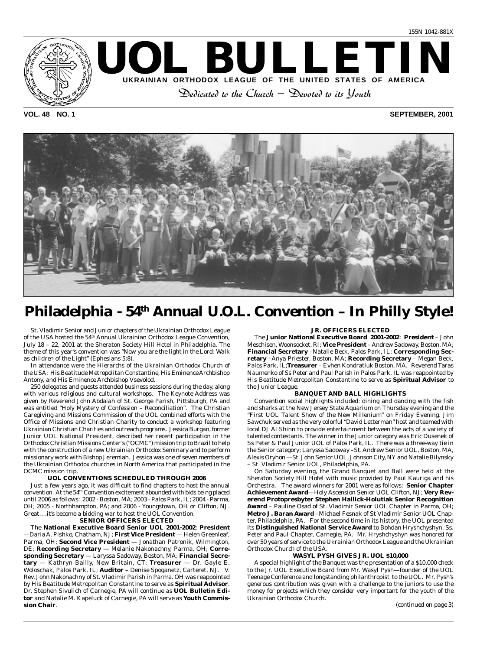#### **VOL. 48 NO. 1 SEPTEMBER, 2001**



UOL BULLETI

**UKRAINIAN ORTHODOX LEAGUE OF THE UNITED STATES OF AMERICA** Dedicated to the Church — Devoted to its Youth

# Philadelphia - 54<sup>th</sup> Annual U.O.L. Convention - In Philly Style!

St. Vladimir Senior and Junior chapters of the Ukrainian Orthodox League of the USA hosted the 54th Annual Ukrainian Orthodox League Convention, July 18 – 22, 2001 at the Sheraton Society Hill Hotel in Philadelphia. The theme of this year's convention was *"Now you are the light in the Lord: Walk as children of the Light"* (Ephesians 5:8).

In attendance were the Hierarchs of the Ukrainian Orthodox Church of the USA: His Beatitude Metropolitan Constantine, His Eminence Archbishop Antony, and His Eminence Archbishop Vsevolod.

250 delegates and guests attended business sessions during the day, along with various religious and cultural workshops. The Keynote Address was given by Reverend John Abdalah of St. George Parish, Pittsburgh, PA and was entitled "Holy Mystery of Confession – Reconciliation". The Christian Caregiving and Missions Commission of the UOL combined efforts with the Office of Missions and Christian Charity to conduct a workshop featuring Ukrainian Christian Charities and outreach programs. Jessica Burgan, former Junior UOL National President, described her recent participation in the Orthodox Christian Missions Center's ("OCMC") mission trip to Brazil to help with the construction of a new Ukrainian Orthodox Seminary and to perform missionary work with Bishop Jeremiah. Jessica was one of seven members of the Ukrainian Orthodox churches in North America that participated in the OCMC mission trip.

#### **UOL CONVENTIONS SCHEDULED THROUGH 2006**

Just a few years ago, it was difficult to find chapters to host the annual convention. At the  $54<sup>th</sup>$  Convention excitement abounded with bids being placed until 2006 as follows: 2002 - Boston, MA; 2003 - Palos Park, IL; 2004 - Parma, OH; 2005 - Northhampton, PA; and 2006 - Youngstown, OH or Clifton, NJ. Great….it's become a bidding war to host the UOL Convention.

#### **SENIOR OFFICERS ELECTED**

The **National Executive Board Senior UOL 2001-2002**: **President** —Daria A. Pishko, Chatham, NJ; **First Vice President** — Helen Greenleaf, Parma, OH; **Second Vice President** — Jonathan Patronik, Wilmington, DE; **Recording Secretary** — Melanie Nakonachny, Parma, OH; **Corresponding Secretary** — Laryssa Sadoway, Boston, MA; **Financial Secretary** — Kathryn Bailly, New Britain, CT; **Treasurer** — Dr. Gayle E. Woloschak, Palos Park, IL; **Auditor** – Denise Spoganetz, Carteret, NJ. V. Rev. John Nakonachny of St. Vladimir Parish in Parma. OH was reappointed by His Beatitude Metropolitan Constantine to serve as **Spiritual Advisor**. Dr. Stephen Sivulich of Carnegie, PA will continue as **UOL Bulletin Editor** and Natalie M. Kapeluck of Carnegie, PA will serve as **Youth Commission Chair**.

#### **JR. OFFICERS ELECTED**

The **Junior National Executive Board 2001-2002**: **President** – John Meschisen, Woonsocket, RI; **Vice President** – Andrew Sadoway, Boston, MA; **Financial Secretary** –Natalie Beck, Palos Park, IL; **Corresponding Secretary** –Anya Priester, Boston, MA; **Recording Secretary** – Megan Beck, Palos Park, IL;**Treasurer** – Evhen Kondratiuk Boston, MA. Reverend Taras Naumenko of Ss Peter and Paul Parish in Palos Park, IL was reappointed by His Beatitude Metropolitan Constantine to serve as **Spiritual Advisor** to the Junior League.

#### **BANQUET AND BALL HIGHLIGHTS**

Convention social highlights included: dining and dancing with the fish and sharks at the New Jersey State Aquarium on Thursday evening and the "First UOL Talent Show of the New Millenium" on Friday Evening. Jim Sawchuk served as the very colorful "David Letterman" host and teamed with local DJ Al Shinn to provide entertainment between the acts of a variety of talented contestants. The winner in the Junior category was Eric Dusenek of Ss Peter & Paul Junior UOL of Palos Park, IL. There was a three-way tie in the Senior category; Laryssa Sadoway –St. Andrew Senior UOL, Boston, MA, Alexis Oryhon —St. John Senior UOL, Johnson City, NY and Natalie Bilynsky – St. Vladimir Senior UOL, Philadelphia, PA.

On Saturday evening, the Grand Banquet and Ball were held at the Sheraton Society Hill Hotel with music provided by Paul Kauriga and his Orchestra. The award winners for 2001 were as follows: **Senior Chapter Achievement Award**—Holy Ascension Senior UOL Clifton, NJ; **Very Reverend Protopresbyter Stephen Hallick-Holutiak Senior Recognition Award** – Pauline Osad of St. Vladimir Senior UOL Chapter in Parma, OH; **Metro J. Baran Award** –Michael Fesnak of St Vladimir Senior UOL Chapter, Philadelphia, PA. For the second time in its history, the UOL presented its **Distinguished National Service Award** to Bohdan Hryshchyshyn, Ss. Peter and Paul Chapter, Carnegie, PA. Mr. Hryshchyshyn was honored for over 50 years of service to the Ukrainian Orthodox League and the Ukrainian Orthodox Church of the USA.

#### **WASYL PYSH GIVES JR. UOL \$10,000**

A special highlight of the Banquet was the presentation of a \$10,000 check to the Jr. UOL Executive Board from Mr. Wasyl Pysh—founder of the UOL Teenage Conference and longstanding philanthropist to the UOL. Mr. Pysh's generous contribution was given with a challenge to the juniors to use the money for projects which they consider very important for the youth of the Ukrainian Orthodox Church.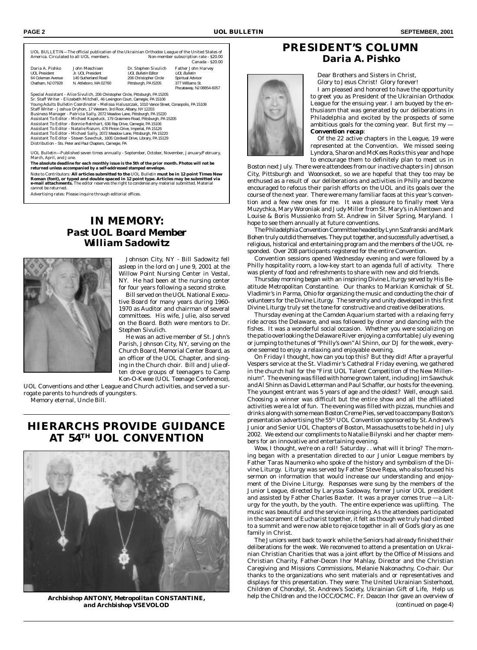|                                                                          |                                                                                                                                           |                                                    | Non-member subscription rate - \$20.00<br>Canada - \$20.00 |
|--------------------------------------------------------------------------|-------------------------------------------------------------------------------------------------------------------------------------------|----------------------------------------------------|------------------------------------------------------------|
| Daria A. Pishko<br><b>UOI President</b>                                  | John Meschisen<br>Jr. UOI President                                                                                                       | Dr. Stephen Sivulich<br><b>UOL Bulletin Editor</b> | Father John Harvey<br><b>UOI Bulletin</b>                  |
| 64 Coleman Avenue                                                        | 140 Sutherland Road                                                                                                                       | 206 Christopher Circle                             | Spiritual Advisor                                          |
| Chatham, NJ 07928                                                        | N. Attleboro, MA 02760                                                                                                                    | Pittsburgh, PA I5205                               | 377 Williams St.<br>Piscataway, NJ 08854-6057              |
|                                                                          | Special Assistant - Alice Sivulich, 206 Christopher Circle, Pittsburgh, PA 15205                                                          |                                                    |                                                            |
|                                                                          | Sr. Staff Writer - Elizabeth Mitchell, 46 Lexington Court, Carnegie, PA 15106                                                             |                                                    |                                                            |
|                                                                          | Young Adults Bulletin Coordinator - Melissa Haluszczak, 1010 Vance Street, Coraopolis, PA 15108                                           |                                                    |                                                            |
|                                                                          | Staff Writer - Joshua Oryhon, 17 Western, 3rd Floor, Albany, NY 12203                                                                     |                                                    |                                                            |
|                                                                          | Business Manager - Patricia Sally, 2072 Meadow Lane, Pittsburgh, PA 15220                                                                 |                                                    |                                                            |
|                                                                          | Assistant To Editor - Michael Kapeluck, 179 Grasmere Road, Pittsburgh, PA 15205                                                           |                                                    |                                                            |
|                                                                          |                                                                                                                                           |                                                    |                                                            |
|                                                                          |                                                                                                                                           |                                                    |                                                            |
| Assistant To Editor - Bonnie Reinhart, 636 Ray Drive, Carnegie, PA 15106 | Assistant To Editor - Natalie Rozum, 478 Pinion Drive, Imperial, PA 15126                                                                 |                                                    |                                                            |
|                                                                          | Assistant To Editor - Michael Sally, 2072 Meadow Lane, Pittsburgh, PA 15220                                                               |                                                    |                                                            |
|                                                                          | Assistant To Editor - Steven Sawchuk, 1605 Cordwell Drive, Library, PA 15129<br>Distribution - Sts. Peter and Paul Chapters, Carnegie, PA |                                                    |                                                            |

March, April, and June.<br>The absolute deadline for each monthly issue is the 5th of the prior month. Photos will not be<br>The absolute deadline for each monthly issue is the 5th of the prior month. Photos will not be<br>returned cannot be returned.

Advertising rates: Please inquire through editorial offices.

## **IN MEMORY:** *Past UOL Board Member William Sadowitz*



Johnson City, NY - Bill Sadowitz fell asleep in the lord on June 9, 2001 at the Willow Point Nursing Center in Vestal, NY. He had been at the nursing center for four years following a second stroke.

Bill served on the UOL National Executive Board for many years during 1960- 1970 as Auditor and chairman of several committees. His wife, Julie, also served on the Board. Both were mentors to Dr. Stephen Sivulich.

He was an active member of St. John's Parish, Johnson City, NY, serving on the Church Board, Memorial Center Board, as an officer of the UOL Chapter, and singing in the Church choir. Bill and Julie often drove groups of teenagers to Camp Kon-O-Kwee (UOL Teenage Conference),

UOL Conventions and other League and Church activities, and served a surrogate parents to hundreds of youngsters. Memory eternal, Uncle Bill.

## **HIERARCHS PROVIDE GUIDANCE AT 54TH UOL CONVENTION**



*and Archbishop VSEVOLOD*

## **PRESIDENT'S COLUMN** *Daria A. Pishko*

Dear Brothers and Sisters in Christ,

Glory to Jesus Christ! Glory forever!

I am pleased and honored to have the opportunity to greet you as President of the Ukrainian Orthodox League for the ensuing year. I am buoyed by the enthusiasm that was generated by our deliberations in Philadelphia and excited by the prospects of some ambitious goals for the coming year. But first my — *Convention recap:*

Of the 22 active chapters in the League, 19 were represented at the Convention. We missed seeing Lyndora, Sharon and McKees Rocks this year and hope to encourage them to definitely plan to meet us in

Boston next July. There were attendees from our inactive chapters in Johnson City, Pittsburgh and Woonsocket, so we are hopeful that they too may be enthused as a result of our deliberations and activities in Philly and become encouraged to refocus their parish efforts on the UOL and its goals over the course of the next year. There were many familiar faces at this year's convention and a few new ones for me. It was a pleasure to finally meet Vera Muzychka, Mary Woroniak and Judy Miller from St. Mary's in Allentown and Louise & Boris Mussienko from St. Andrew in Silver Spring, Maryland. I hope to see them annually at future conventions.

The Philadelphia Convention Committee headed by Lynn Szafranski and Mark Bohen truly outdid themselves. They put together, and successfully advertised, a religious, historical and entertaining program and the members of the UOL responded. Over 208 participants registered for the entire Convention.

Convention sessions opened Wednesday evening and were followed by a Philly hospitality room, a low-key start to an agenda full of activity. There was plenty of food and refreshments to share with new and old friends.

Thursday morning began with an inspiring Divine Liturgy served by His Beatitude Metropolitan Constantine. Our thanks to Markian Komichak of St. Vladimir's in Parma, Ohio for organizing the music and conducting the choir of volunteers for the Divine Liturgy. The serenity and unity developed in this first Divine Liturgy truly set the tone for constructive and creative deliberations.

Thursday evening at the Camden Aquarium started with a relaxing ferry ride across the Delaware, and was followed by dinner and dancing with the fishes. It was a wonderful social occasion. Whether you were socializing on the patio overlooking the Delaware River enjoying a comfortable July evening or jumping to the tunes of "Philly's own" Al Shinn, our DJ for the week, everyone seemed to enjoy a relaxing and enjoyable evening.

On Friday I thought, how can you top this? But they did! After a prayerful Vespers service at the St. Vladimir's Cathedral Friday evening, we gathered in the church hall for the "First UOL Talent Competition of the New Millennium". The evening was filled with home grown talent, including Jim Sawchuk and Al Shinn as David Letterman and Paul Schaffer, our hosts for the evening. The youngest entrant was 5 years of age and the oldest? Well, enough said. Choosing a winner was difficult but the entire show and all the affiliated activities were a lot of fun. The evening was filled with pizzas, munchies and drinks along with some mean Boston Creme Pies, served to accompany Boston's presentation advertising the 55<sup>th</sup> UOL Convention sponsored by St. Andrew's Junior and Senior UOL Chapters of Boston, Massachusetts to be held in July 2002. We extend our compliments to Natalie Bilynski and her chapter members for an innovative and entertaining evening.

Wow, I thought, we're on a roll! Saturday . . what will it bring? The morning began with a presentation directed to our Junior League members by Father Taras Naumenko who spoke of the history and symbolism of the Divine Liturgy. Liturgy was served by Father Steve Repa, who also focused his sermon on information that would increase our understanding and enjoyment of the Divine Liturgy. Responses were sung by the members of the Junior League, directed by Laryssa Sadoway, former Junior UOL president and assisted by Father Charles Baxter. It was a prayer comes true —a Liturgy for the youth, by the youth. The entire experience was uplifting. The music was beautiful and the service inspiring. As the attendees participated in the sacrament of Eucharist together, it felt as though we truly had climbed to a summit and were now able to rejoice together in all of God's glory as one family in Christ.

The Juniors went back to work while the Seniors had already finished their deliberations for the week. We reconvened to attend a presentation on Ukrainian Christian Charities that was a joint effort by the Office of Missions and Christian Charity, Father-Decon Ihor Mahlay, Director and the Christian Caregiving and Missions Commissions, Melanie Nakonachny, Co-chair. Our thanks to the organizations who sent materials and or representatives and displays for this presentation. They were: The United Ukrainian Sisterhood, Children of Chonobyl, St. Andrew's Society, Ukrainian Gift of Life, Help us *Archbishop ANTONY, Metropolitan CONSTANTINE,* help the Children and the IOCC/OCMC. Fr. Deacon Ihor gave an overview of *(continued on page 4)*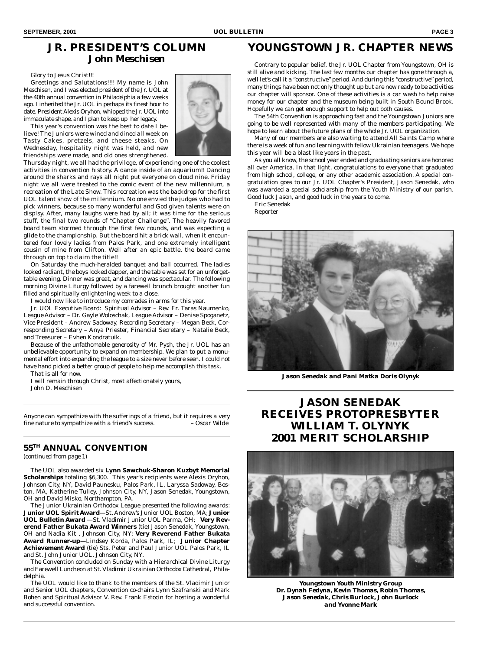## **JR. PRESIDENT'S COLUMN** *John Meschisen*

#### Glory to Jesus Christ!!!

Greetings and Salutations!!!! My name is John Meschisen, and I was elected president of the Jr. UOL at the 40th annual convention in Philadelphia a few weeks ago. I inherited the Jr. UOL in perhaps its finest hour to date. President Alexis Oryhon, whipped the Jr. UOL into immaculate shape, and I plan to keep up her legacy.

This year's convention was the best to date I believe! The Juniors were wined and dined all week on Tasty Cakes, pretzels, and cheese steaks. On Wednesday, hospitality night was held, and new friendships were made, and old ones strengthened.



Thursday night, we all had the privilege, of experiencing one of the coolest activities in convention history. A dance inside of an aquarium!! Dancing around the sharks and rays all night put everyone on cloud nine. Friday night we all were treated to the comic event of the new millennium, a recreation of the Late Show. This recreation was the backdrop for the first UOL talent show of the millennium. No one envied the judges who had to pick winners, because so many wonderful and God given talents were on displsy. After, many laughs were had by all; it was time for the serious stuff, the final two rounds of "Chapter Challenge". The heavily favored board team stormed through the first few rounds, and was expecting a glide to the championship. But the board hit a brick wall, when it encountered four lovely ladies from Palos Park, and one extremely intelligent cousin of mine from Clifton. Well after an epic battle, the board came through on top to claim the title!!

On Saturday the much-heralded banquet and ball occurred. The ladies looked radiant, the boys looked dapper, and the table was set for an unforgettable evening. Dinner was great, and dancing was spectacular. The following morning Divine Liturgy followed by a farewell brunch brought another fun filled and spiritually enlightening week to a close.

I would now like to introduce my comrades in arms for this year.

Jr. UOL Executive Board: Spiritual Advisor – Rev. Fr. Taras Naumenko, League Advisor – Dr. Gayle Woloschak, League Advisor – Denise Spoganetz, Vice President – Andrew Sadoway, Recording Secretary – Megan Beck, Corresponding Secretary – Anya Priester, Financial Secretary – Natalie Beck, and Treasurer – Evhen Kondratuik.

Because of the unfathomable generosity of Mr. Pysh, the Jr. UOL has an unbelievable opportunity to expand on membership. We plan to put a monumental effort into expanding the league to a size never before seen. I could not have hand picked a better group of people to help me accomplish this task.

That is all for now.

I will remain through Christ, most affectionately yours,

John D. Meschisen

*Anyone can sympathize with the sufferings of a friend, but it requires a very fine nature to sympathize with a friend's success.* 

### **55TH ANNUAL CONVENTION**

*(continued from page 1)*

The UOL also awarded six **Lynn Sawchuk-Sharon Kuzbyt Memorial Scholarships** totaling \$6,300. This year's recipients were Alexis Oryhon, Johnson City, NY, David Paunesku, Palos Park, IL, Laryssa Sadoway, Boston, MA, Katherine Tulley, Johnson City, NY, Jason Senedak, Youngstown, OH and David Misko, Northampton, PA.

The Junior Ukrainian Orthodox League presented the following awards: **Junior UOL Spirit Award**—St, Andrew's Junior UOL Boston, MA; **Junior UOL Bulletin Award** —St. Vladimir Junior UOL Parma, OH; **Very Reverend Father Bukata Award Winners** (tie) Jason Senedak, Youngstown, OH and Nadia Kit , Johnson City, NY: **Very Reverend Father Bukata Award Runner-up**—Lindsey Korda, Palos Park, IL; **Junior Chapter Achievement Award** (tie) Sts. Peter and Paul Junior UOL Palos Park, IL and St. John Junior UOL, Johnson City, NY.

The Convention concluded on Sunday with a Hierarchical Divine Liturgy and Farewell Luncheon at St. Vladimir Ukrainian Orthodox Cathedral, Philadelphia.

The UOL would like to thank to the members of the St. Vladimir Junior and Senior UOL chapters, Convention co-chairs Lynn Szafranski and Mark Bohen and Spiritual Advisor V. Rev. Frank Estocin for hosting a wonderful and successful convention.

## **YOUNGSTOWN JR. CHAPTER NEWS**

Contrary to popular belief, the Jr. UOL Chapter from Youngstown, OH is still alive and kicking. The last few months our chapter has gone through a, well let's call it a "constructive" period. And during this "constructive" period, many things have been not only thought up but are now ready to be activities our chapter will sponsor. One of these activities is a car wash to help raise money for our chapter and the museum being built in South Bound Brook. Hopefully we can get enough support to help out both causes.

The 54th Convention is approaching fast and the Youngstown Juniors are going to be well represented with many of the members participating. We hope to learn about the future plans of the whole Jr. UOL organization.

Many of our members are also waiting to attend All Saints Camp where there is a week of fun and learning with fellow Ukrainian teenagers. We hope this year will be a blast like years in the past.

As you all know, the school year ended and graduating seniors are honored all over America. In that light, congratulations to everyone that graduated from high school, college, or any other academic association. A special congratulation goes to our Jr. UOL Chapter's President, Jason Senedak, who was awarded a special scholarship from the Youth Ministry of our parish. Good luck Jason, and good luck in the years to come.

Eric Senedak Reporter



*Jason Senedak and Pani Matka Doris Olynyk*

## **JASON SENEDAK RECEIVES PROTOPRESBYTER WILLIAM T. OLYNYK 2001 MERIT SCHOLARSHIP**



*Youngstown Youth Ministry Group Dr. Dynah Fedyna, Kevin Thomas, Robin Thomas, Jason Senedak, Chris Burlock, John Burlock and Yvonne Mark*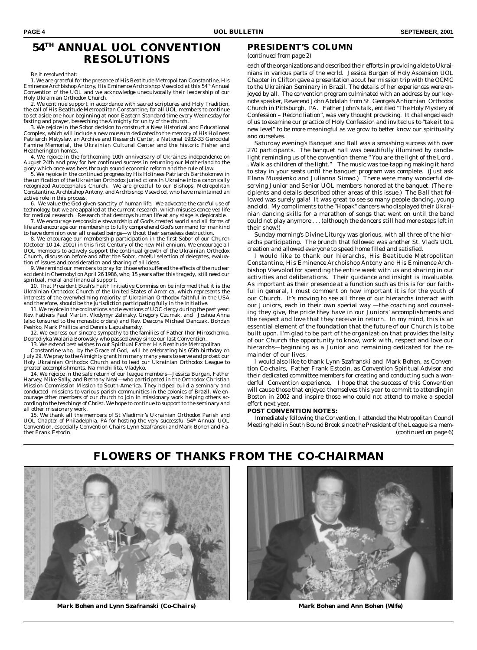## **54TH ANNUAL UOL CONVENTION RESOLUTIONS**

Be it resolved that:

1. We are grateful for the presence of His Beatitude Metropolitan Constantine, His Eminence Archbishop Antony, His Eminence Archbishop Vsevolod at this 54th Annual Convention of the UOL and we acknowledge unequivocally their leadership of our Holy Ukrainian Orthodox Church.

2. We continue support in accordance with sacred scriptures and Holy Tradition, the call of His Beatitude Metropolitan Constantine, for all UOL members to continue to set aside one hour beginning at noon Eastern Standard time every Wednesday for fasting and prayer, beseeching the Almighty for unity of the church.

3. We rejoice in the Sobor decision to construct a New Historical and Educational Complex, which will include a new museum dedicated to the memory of His Holiness Patriarch Mstyslav, an Archive and Research Center, a National 1932-33 Genocidal Famine Memorial, the Ukrainian Cultural Center and the historic Fisher and

Heatherington homes. 4. We rejoice in the forthcoming 10th anniversary of Ukraine's independence on August 24th and pray for her continued success in returning our Motherland to the

glory which once was hers through sound economic reform and the rule of law.<br>5. We rejoice in the continued progress by His Holiness Patriarch Bartholomew in [3]<br>the unification of the Ukrainian Orthodox jurisdictions in U recognized Autocephalus Church. We are greatful to our Bishops, Metropolitan Constantine, Archbishop Antony, and Archbishop Vsevolod, who have maintained an active role in this process.

6. We value the God-given sanctity of human life. We advocate the careful use of technology, but we are appalled at the current research, which misuses conceived life for medical research. Research that destroys human life at any stage is deplorable.

7. We encourage responsible stewardship of God's created world and all forms of life and encourage our membership to fully comprehend God's command for mankind to have dominion over all created beings—without their senseless destruction.

8. We encourage our membership participation in the first Sobor of our Church (October 10-14, 2001) in this first Century of the new Millennium. We encourage all UOL members to actively support the continual growth of the Ukrainian Orthodox Church, discussion before and after the Sobor, careful selection of delegates, evalua-tion of issues and consideration and sharing of all ideas.

9. We remind our members to pray for those who suffered the effects of the nuclear accident in Chernobyl on April 26 1986, who, 15 years after this tragedy, still need our spiritual, moral and financial support.

10. That President Bush's Faith Initiative Commission be informed that it is the Ukrainian Orthodox Church of the United States of America, which represents the interests of the overwhelming majority of Ukrainian Orthodox faithful in the USA and therefore, should be the jurisdiction participating fully in the initiative.

. 11. We rejoice in the ordinations and elevations of UOC clergy during the past year:<br>Rev. Fathers Paul Martin, Vlodymyr Zelinsky, Gregory Czumak, and Joshua Anna<br>(also tonsured to the monastic orders) and Rev. Deacons Mi

Peshko, Mark Phillips and Dennis Lapushansky.<br>12. We express our sincere sympathy to the families of Father Ihor Miroschenko,<br>Dobrodiyka Walaria Borowsky who passed away since our last Convention.<br>13. We extend best wishes

Constantine who, by the Grace of God, will be celebrating his 65th birthday on July 29. We pray to the Almighty grant him many many years to serve and protect our Holy Ukrainian Orthodox Church and to lead our Ukrainian Orthodox League to greater accomplishments. Na mnohi lita, Vladyko.

14. We rejoice in the safe return of our league members—Jessica Burgan, Father Harvey, Mike Sally, and Bethany Neal—who participated in the Orthodox Christian Mission Commission Mission to South America. They helped build a seminary and conducted missions to various parish communities in the colonies of Brazil. We encourage other members of our church to join in missionary work helping others ac-cording to the teachings of Christ. We hope to continue to support to the seminary and all other missionary work.

15. We thank all the members of St Vladimir's Ukrainian Orthodox Parish and UOL Chapter of Philadelphia, PA for hosting the very successful 54<sup>th</sup> Annual UOL Convention, especially Convention Chairs Lynn Szafranski and Mark Bohen and Father Frank Estocin.

### **PRESIDENT'S COLUMN**

*(continued from page 2)*

each of the organizations and described their efforts in providing aide to Ukrainians in various parts of the world. Jessica Burgan of Holy Ascension UOL Chapter in Clifton gave a presentation about her mission trip with the OCMC to the Ukrainian Seminary in Brazil. The details of her experiences were enjoyed by all. The convention program culminated with an address by our keynote speaker, Reverend John Abdalah from St. George's Antiochian Orthodox Church in Pittsburgh, PA. Father John's talk, entitled "The Holy Mystery of Confession – Reconciliation", was very thought provoking. It challenged each of us to examine our practice of Holy Confession and invited us to "take it to a new level" to be more meaningful as we grow to better know our spirituality and ourselves.

Saturday evening's Banquet and Ball was a smashing success with over 270 participants. The banquet hall was beautifully illumined by candlelight reminding us of the convention theme " You are the light of the Lord . . Walk as children of the light." The music was toe-tapping making it hard to stay in your seats until the banquet program was complete. (Just ask Elana Mussienko and Julianna Simao.) There were many wonderful deserving Junior and Senior UOL members honored at the banquet. (The recipients and details described other areas of this issue.) The Ball that followed was surely gala! It was great to see so many people dancing, young and old. My compliments to the "Hopak" dancers who displayed their Ukrainian dancing skills for a marathon of songs that went on until the band could not play anymore . . . (although the dancers still had more steps left in their show!)

Sunday morning's Divine Liturgy was glorious, with all three of the hierarchs participating. The brunch that followed was another St. Vlad's UOL creation and allowed everyone to speed home filled and satisfied.

I would like to thank our hierarchs, His Beatitude Metropolitan Constantine, His Eminence Archbishop Antony and His Eminence Archbishop Vsevolod for spending the entire week with us and sharing in our activities and deliberations. Their guidance and insight is invaluable. As important as their presence at a function such as this is for our faithful in general, I must comment on how important it is for the youth of our Church. It's moving to see all three of our hierarchs interact with our Juniors, each in their own special way —the coaching and counseling they give, the pride they have in our Juniors' accomplishments and the respect and love that they receive in return. In my mind, this is an essential element of the foundation that the future of our Church is to be built upon. I'm glad to be part of the organization that provides the laity of our Church the opportunity to know, work with, respect and love our hierarchs—beginning as a Junior and remaining dedicated for the remainder of our lives.

I would also like to thank Lynn Szafranski and Mark Bohen, as Convention Co-chairs, Father Frank Estocin, as Convention Spiritual Advisor and their dedicated committee members for creating and conducting such a wonderful Convention experience. I hope that the success of this Convention will cause those that enjoyed themselves this year to commit to attending in Boston in 2002 and inspire those who could not attend to make a special effort next year.

#### **POST CONVENTION NOTES:**

Immediately following the Convention, I attended the Metropolitan Council Meeting held in South Bound Brook since the President of the League is a mem-*(continued on page 6)*



*Mark Bohen and Lynn Szafranski (Co-Chairs) Mark Bohen and Ann Bohen (Wife)*

# **FLOWERS OF THANKS FROM THE CO-CHAIRMAN**

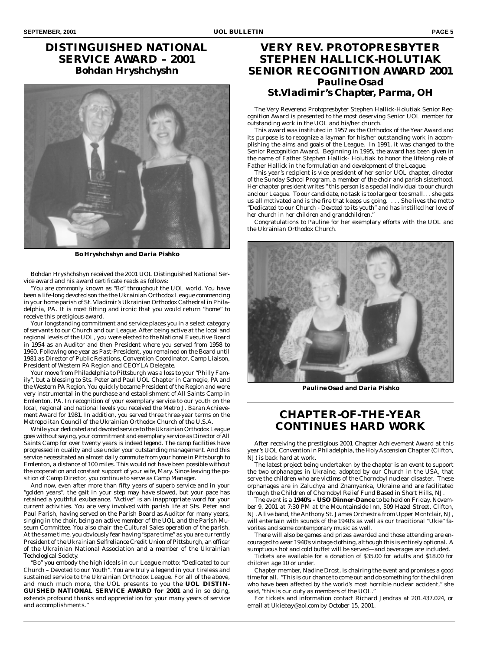## **DISTINGUISHED NATIONAL SERVICE AWARD – 2001** *Bohdan Hryshchyshn*



*Bo Hryshchshyn and Daria Pishko*

Bohdan Hryshchshyn received the 2001 UOL Distinguished National Service award and his award certificate reads as follows:

"You are commonly known as "Bo" throughout the UOL world. You have been a life-long devoted son the the Ukrainian Orthodox League commencing in your home parish of St. Vladimir's Ukrainian Orthodox Cathedral in Philadelphia, PA. It is most fitting and ironic that you would return "home" to receive this pretigious award.

Your longstanding commitment and service places you in a select category of servants to our Church and our League. After being active at the local and regional levels of the UOL, you were elected to the National Executive Board in 1954 as an Auditor and then President where you served from 1958 to 1960. Following one year as Past-President, you remained on the Board until 1981 as Director of Public Relations, Convention Coordinator, Camp Liaison, President of Western PA Region and CEOYLA Delegate.

Your move from Philadelphia to Pittsburgh was a loss to your "Philly Family", but a blessing to Sts. Peter and Paul UOL Chapter in Carnegie, PA and the Western PA Region. You quickly became President of the Region and were very instrumental in the purchase and establishment of All Saints Camp in Emlenton, PA. In recognition of your exemplary service to our youth on the local, regional and national levels you received the Metro J. Baran Achievement Award for 1981. In addition, you served three three-year terms on the Metropolitan Council of the Ukrainian Orthodox Church of the U.S.A.

While your dedicated and devoted service to the Ukrainian Orthodox League goes without saying, your commitment and exemplary service as Director of All Saints Camp for over twenty years is indeed legend. The camp facilities have progressed in quality and use under your outstanding management. And this service necessitated an almost daily commute from your home in Pittsburgh to Emlenton, a distance of 100 miles. This would not have been possible without the cooperation and constant support of your wife, Mary. Since leaving the position of Camp Director, you continue to serve as Camp Manager.

And now, even after more than fifty years of superb service and in your "golden years", the gait in your step may have slowed, but your pace has retained a youthful exuberance. "Active" is an inappropriate word for your current activities. You are very involved with parish life at Sts. Peter and Paul Parish, having served on the Parish Board as Auditor for many years, singing in the choir, being an active member of the UOL and the Parish Museum Committee. You also chair the Cultural Sales operation of the parish. At the same time, you obviously fear having "spare time" as you are currently President of the Ukrainian Selfreliance Credit Union of Pittsburgh, an officer of the Ukrainian National Association and a member of the Ukrainian Techological Society.

"Bo" you embody the high ideals in our League motto: *"Dedicated to our Church – Devoted to our Youth".* You are truly a legend in your tireless and sustained service to the Ukrainian Orthodox League. For all of the above, and much much more, the UOL presents to you the **UOL DISTIN-GUISHED NATIONAL SERVICE AWARD for 2001** and in so doing, extends profound thanks and appreciation for your many years of service and accomplishments."

## **VERY REV. PROTOPRESBYTER STEPHEN HALLICK-HOLUTIAK SENIOR RECOGNITION AWARD 2001** *Pauline Osad St.Vladimir's Chapter, Parma, OH*

The Very Reverend Protopresbyter Stephen Hallick-Holutiak Senior Recognition Award is presented to the most deserving Senior UOL member for outstanding work in the UOL and his/her church.

This award was instituted in 1957 as the Orthodox of the Year Award and its purpose is to recognize a layman for his/her outstanding work in accomplishing the aims and goals of the League. In 1991, it was changed to the Senior Recognition Award. Beginning in 1995, the award has been given in the name of Father Stephen Hallick- Holutiak to honor the lifelong role of Father Hallick in the formulation and development of the League.

This year's recipient is vice president of her senior UOL chapter, director of the Sunday School Program, a member of the choir and parish sisterhood. Her chapter president writes " this person is a special individual to our church and our League. To our candidate, no task is too large or too small. . . she gets us all motivated and is the fire that keeps us going. . . . She lives the motto "*Dedicated to our Church - Devoted to its youth*" and has instilled her love of her church in her children and grandchildren."

Congratulations to Pauline for her exemplary efforts with the UOL and the Ukrainian Orthodox Church.



*Pauline Osad and Daria Pishko*

## **CHAPTER-OF-THE-YEAR CONTINUES HARD WORK**

After receiving the prestigious 2001 Chapter Achievement Award at this year's UOL Convention in Philadelphia, the Holy Ascension Chapter (Clifton, NJ) is back hard at work.

The latest project being undertaken by the chapter is an event to support the two orphanages in Ukraine, adopted by our Church in the USA, that serve the children who are victims of the Chornobyl nuclear disaster. These orphanages are in Zaluchya and Znamyanka, Ukraine and are facilitated through the Children of Chornobyl Relief Fund Based in Short Hills, NJ.

The event is a **1940's – USO Dinner-Dance** to be held on Friday, November 9, 2001 at 7:30 PM at the Mountainside Inn, 509 Hazel Street, Clifton, NJ. A live band, the Anthony St. James Orchestra from Upper Montclair, NJ, will entertain with *sounds of the 1940's* as well as our traditional "Ukie" favorites and some contemporary music as well.

There will also be games and prizes awarded and those attending are encouraged to wear 1940's vintage clothing, although this is entirely optional. A sumptuous hot and cold buffet will be served—and beverages are included.

Tickets are available for a donation of \$35.00 for adults and \$18.00 for children age 10 or under.

Chapter member, Nadine Drost, is chairing the event and promises a good time for all. "This is our chance to come out and do something for the children who have been affected by the world's most horrible nuclear accident," she said, "this is our duty as members of the UOL."

For tickets and information contact Richard Jendras at 201.437.024, or email at Ukiebay@aol.com by October 15, 2001.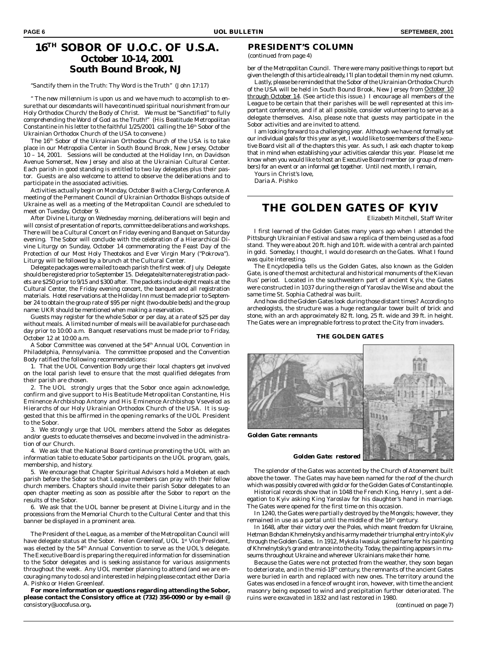## **16TH SOBOR OF U.O.C. OF U.S.A.** *October 10-14, 2001 South Bound Brook, NJ*

"Sanctify them in the Truth: Thy Word is the Truth" (John 17:17)

*" The new millennium is upon us and we have much to accomplish to ensure that our descendants will have continued spiritual nourishment from our Holy Orthodox Church/the Body of Christ. We must be "Sanctified" to fully comprehending the Word of God as the Truth*!" (His Beatitude Metropolitan Constantine in his letter to the faithful 1/25/2001 calling the 16<sup>th</sup> Sobor of the Ukrainian Orthodox Church of the USA to convene.)

The 16<sup>th</sup> Sobor of the Ukrainian Orthodox Church of the USA is to take place in our Metropolia Center in South Bound Brook, New Jersey, October 10 – 14, 2001. Sessions will be conducted at the Holiday Inn, on Davidson Avenue Somerset, New Jersey and also at the Ukrainian Cultural Center. Each parish in good standing is entitled to two lay delegates plus their pastor. Guests are also welcome to attend to observe the deliberations and to participate in the associated activities.

Activities actually begin on Monday, October 8 with a Clergy Conference. A meeting of the Permanent Council of Ukrainian Orthodox Bishops outside of Ukraine as well as a meeting of the Metropolitan Council are scheduled to meet on Tuesday, October 9.

After Divine Liturgy on Wednesday morning, deliberations will begin and will consist of presentation of reports, committee deliberations and workshops. There will be a Cultural Concert on Friday evening and Banquet on Saturday evening. The Sobor will conclude with the celebration of a Hierarchical Divine Liturgy on Sunday, October 14 commemorating the Feast Day of the Protection of our Most Holy Theotokos and Ever Virgin Mary ("Pokrova"). Liturgy will be followed by a brunch at the Cultural Center.

Delegate packages were mailed to each parish the first week of July. Delegate should be registered prior to September 15. Delegate/alternate registration packets are \$250 prior to 9/15 and \$300 after. The packets include eight meals at the Cultural Center, the Friday evening concert, the banquet and all registration materials. Hotel reservations at the Holiday Inn must be made prior to September 24 to obtain the group rate of \$95 per night (two-double beds) and the group name: UKR should be mentioned when making a reservation.

Guests may register for the whole Sobor or per day, at a rate of \$25 per day without meals. A limited number of meals will be available for purchase each day prior to 10:00 a.m. Banquet reservations must be made prior to Friday, October 12 at 10:00 a.m.

A Sobor Committee was convened at the 54th Annual UOL Convention in Philadelphia, Pennsylvania. The committee proposed and the Convention Body ratified the following recommendations:

1. That the UOL Convention Body urge their local chapters get involved on the local parish level to ensure that the most qualified delegates from their parish are chosen.

2. The UOL strongly urges that the Sobor once again acknowledge, confirm and give support to His Beatitude Metropolitan Constantine, His Eminence Archbishop Antony and His Eminence Archbishop Vsevelod as Hierarchs of our Holy Ukrainian Orthodox Church of the USA. It is suggested that this be affirmed in the opening remarks of the UOL President to the Sobor.

3. We strongly urge that UOL members attend the Sobor as delegates and/or guests to educate themselves and become involved in the administration of our Church.

4. We ask that the National Board continue promoting the UOL with an information table to educate Sobor participants on the UOL program, goals, membership, and history.

5. We encourage that Chapter Spiritual Advisors hold a Moleben at each parish before the Sobor so that League members can pray with their fellow church members. Chapters should invite their parish Sobor delegates to an open chapter meeting as soon as possible after the Sobor to report on the results of the Sobor.

6. We ask that the UOL banner be present at Divine Liturgy and in the processions from the Memorial Church to the Cultural Center and that this banner be displayed in a prominent area.

The President of the League, as a member of the Metropolitan Council will have delegate status at the Sobor. Helen Greenleaf, UOL 1st Vice President, was elected by the 54<sup>th</sup> Annual Convention to serve as the UOL's delegate. The Executive Board is preparing the required information for dissemination to the Sobor delegates and is seeking assistance for various assignments throughout the week. Any UOL member planning to attend (and we are encouraging many to do so) and interested in helping please contact either Daria A. Pishko or Helen Greenleaf.

**For more information or questions regarding attending the Sobor, please contact the Consistory office at (732) 356-0090 or by e-mail @** consistory@uocofusa.org**.**

#### **PRESIDENT'S COLUMN**

*(continued from page 4)*

ber of the Metropolitan Council. There were many positive things to report but given the length of this article already, I'll plan to detail them in my next column.

Lastly, please be reminded that the Sobor of the Ukrainian Orthodox Church of the USA will be held in South Bound Brook, New Jersey from *October 10 through October 14*. (See article this issue.) I encourage all members of the League to be certain that their parishes will be well represented at this important conference, and if at all possible, consider volunteering to serve as a delegate themselves. Also, please note that guests may participate in the Sobor activities and are invited to attend.

I am looking forward to a challenging year. Although we have not formally set our individual goals for this year as yet, I would like to see members of the Executive Board visit all of the chapters this year. As such, I ask each chapter to keep that in mind when establishing your activities calendar this year. Please let me know when you would like to host an Executive Board member (or group of members) for an event or an informal get together. Until next month, I remain,

Yours in Christ's love,

Daria A. Pishko

### **THE GOLDEN GATES OF KYIV**

Elizabeth Mitchell, Staff Writer

I first learned of the Golden Gates many years ago when I attended the Pittsburgh Ukrainian Festival and saw a replica of them being used as a food stand. They were about 20 ft. high and 10 ft. wide with a central arch painted in gold. Someday, I thought, I would do research on the Gates. What I found was quite interesting.

The Encyclopedia tells us the Golden Gates, also known as the Golden Gate, is one of the most architectural and historical monuments of the Kievan Rus' period. Located in the southwestern part of ancient Kyiv, the Gates were constructed in 1037 during the reign of Yaroslav the Wise and about the same time St. Sophia Cathedral was built.

And how did the Golden Gates look during those distant times? According to archeologists, the structure was a huge rectangular tower built of brick and stone, with an arch approximately 82 ft. long, 25 ft. wide and 39 ft. in height. The Gates were an impregnable fortress to protect the City from invaders.

#### **THE GOLDEN GATES**



The splendor of the Gates was accented by the Church of Atonement built above the tower. The Gates may have been named for the roof of the church which was possibly covered with gold or for the Golden Gates of Constantinople.

Historical records show that in 1048 the French King, Henry I, sent a delegation to Kyiv asking King Yaroslav for his daughter's hand in marriage. The Gates were opened for the first time on this occasion.

In 1240, the Gates were partially destroyed by the Mongols; however, they remained in use as a portal until the middle of the 16<sup>th</sup> century.

In 1648, after their victory over the Poles, which meant freedom for Ukraine, Hetman Bohdan Khmelnytsky and his army made their triumphal entry into Kyiv through the Golden Gates. In 1912, Mykola Iwasiuk gained fame for his painting of Khmelnytsky's grand entrance into the city. Today, the painting appears in museums throughout Ukraine and wherever Ukrainians make their home.

Because the Gates were not protected from the weather, they soon began to deteriorate, and in the mid-18<sup>th</sup> century, the remnants of the ancient Gates were buried in earth and replaced with new ones. The territory around the Gates was enclosed in a fence of wrought iron, however, with time the ancient masonry being exposed to wind and precipitation further deteriorated. The ruins were excavated in 1832 and last restored in 1980.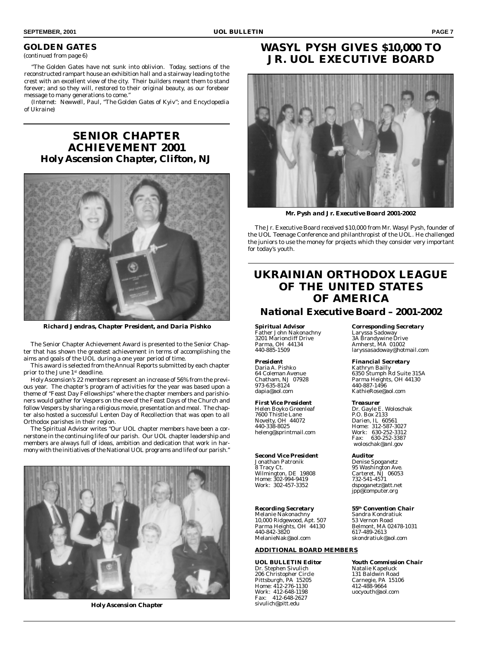#### **GOLDEN GATES**

*(continued from page 6)*

"The Golden Gates have not sunk into oblivion. Today, sections of the reconstructed rampart house an exhibition hall and a stairway leading to the crest with an excellent view of the city. Their builders meant them to stand forever; and so they will, restored to their original beauty, as our forebear message to many generations to come."

*(Internet: Newwell, Paul, "The Golden Gates of Kyiv"; and Encyclopedia of Ukraine)*

**SENIOR CHAPTER ACHIEVEMENT 2001** *Holy Ascension Chapter, Clifton, NJ*



*Richard Jendras, Chapter President, and Daria Pishko*

The Senior Chapter Achievement Award is presented to the Senior Chapter that has shown the greatest achievement in terms of accomplishing the aims and goals of the UOL during a one year period of time.

This award is selected from the Annual Reports submitted by each chapter prior to the June 1<sup>st</sup> deadline.

Holy Ascension's 22 members represent an increase of 56% from the previous year. The chapter's program of activities for the year was based upon a theme of "Feast Day Fellowships" where the chapter members and parishioners would gather for Vespers on the eve of the Feast Days of the Church and follow Vespers by sharing a religious movie, presentation and meal. The chapter also hosted a successful Lenten Day of Recollection that was open to all Orthodox parishes in their region.

The Spiritual Advisor writes "Our UOL chapter members have been a cornerstone in the continuing life of our parish. Our UOL chapter leadership and members are always full of ideas, ambition and dedication that work in harmony with the initiatives of the National UOL programs and life of our parish."



*Holy Ascension Chapter*

## **WASYL PYSH GIVES \$10,000 TO JR. UOL EXECUTIVE BOARD**



*Mr. Pysh and Jr. Executive Board 2001-2002*

The Jr. Executive Board received \$10,000 from Mr. Wasyl Pysh, founder of the UOL Teenage Conference and philanthropist of the UOL. He challenged the juniors to use the money for projects which they consider very important for today's youth.

## **UKRAINIAN ORTHODOX LEAGUE OF THE UNITED STATES OF AMERICA**

#### *National Executive Board – 2001-2002*

Father John Nakonachny<br>3201 Marioncliff Drive 3201 Marioncliff Drive 3A Brandywine Drive Parma, OH 44134 Amherst, MA 01002

Daria A. Pishko<br>64 Coleman Avenue<br>Chatham, NJ 07928 973-635-8124 440-887-1496

# *First Vice President Treasurer*

Novelty, OH 44072<br>440-338-8025 heleng@sprintmail.com Work<br>:Fax

Jonathan Patronik<br>8 Tracy Ct. Wilmington, DE 19808 Carteret, NJ<br>Home: 302-994-9419 732-541-4571 Home: 302-994-9419<br>Work: 302-457-3352

Melanie Nakonachny Sandra Kondrat<br>10,000 Ridgewood, Apt. 507 53 Vernon Road 10,000 Ridgewood, Apt. 507 53 Vernon Road<br>Parma Heights, OH 44130 Belmont, MA 02478-1031 Parma Heights, OH 44130 Belmont, MA<br>440-842-3820 617-489-2613 440-842-3820<br>MelanieNak@aol.com

#### **ADDITIONAL BOARD MEMBERS**

Dr. Stephen Sivulich Natalie Kapeluck<br>131 Baldwin Road 131 Baldwin Road 206 Christopher Circle 131 Baldwin Road<br>
Pittsburgh, PA 15205 Carnegie, PA 15106<br>
Home: 412-276-1130 412-488-9664 Pittsburgh, PA 15205 Carnegie, PA 15106 Home: 412-276-1130 412-488-9664 Work: 412-648-1198 uocyouth@aol.com Fax: 412-648-2627 sivulich@pitt.edu

# *Spiritual Advisor Corresponding Secretary* 440-885-1509 laryssasadoway@hotmail.com

*President Financial Secretary* 64 Coleman Avenue 6350 Stumph Rd Suite 315A Chatham, NJ 07928 Parma Heights, OH 44130 KathieRose@aol.com

#### Dr. Gayle E. Woloschak<br>P.O. Box 2133 1999 Helen Boyko Greenleaf Dr. Gayle E. Wolo<br>
1976 - P.O. Box 2133<br>
1976 - P.O. Box 2133<br>
1976 - Darien, IL 60561 Home: 312-587-3027<br>Work: 630-252-3312 Fax: 630-252-3387 woloschak@anl.gov

**Second Vice President Auditor**<br> **Auditor**<br> **Denise Spoganetz** 95 Washington Ave.<br>Carteret. NJ 06053 Work: 302-457-3352 dspoganetz@att.net jpp@computer.org

## *Recording Secretary 55th Convention Chair*

skondratiuk@aol.com

*UOL BULLETIN Editor Youth Commission Chair*<br>Dr. Stephen Sivulich **Matalie Kapeluck**